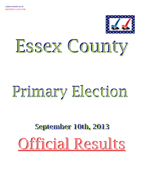

# Essex County

## Primary Election

## **September 10th, 2013** Official Results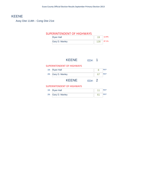## KEENE

Assy Dist 114th - Cong Dist 21st

#### SUPERINTENDENT OF HIGHWAYS

| <b>Ryan Hall</b> |     | 12.9% |
|------------------|-----|-------|
| Gary D. Manley   | 129 | 87.1% |

## KEENE ED#: 1

#### SUPERINTENDENT OF HIGHWAYS

| 2B: Gary D. Manley | <b>RFP</b> |
|--------------------|------------|
| 1B: Ryan Hall      | <b>RFP</b> |

## KEENE ED#: 2

#### SUPERINTENDENT OF HIGHWAYS

| 1B: Ryan Hall      | <b>REP</b> |
|--------------------|------------|
| 2B: Gary D. Manley | <b>REP</b> |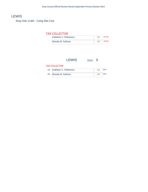## **LEWIS**

Assy Dist 114th - Cong Dist 21st

#### TAX COLLECTOR

| Kathleen C. Robertson | 57.4% |
|-----------------------|-------|
| Brenda M. Sullivan    |       |

## LEWIS ED#: 0

#### TAX COLLECTOR

| 1B: Kathleen C. Robertson | ҕ⊿ |            |
|---------------------------|----|------------|
| 2B: Brenda M. Sullivan    |    | <b>REP</b> |

 $\sim$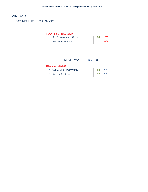## MINERVA

Assy Dist 114th - Cong Dist 21st

#### TOWN SUPERVISOR

| Sue E. Montgomery Corey | 63.4% |
|-------------------------|-------|
| Stephen R. McNally      | 36.6% |

## MINERVA ED#: 0

#### TOWN SUPERVISOR

| 1A: Sue E. Montgomery Corey | 64 | <b>DEM</b> |
|-----------------------------|----|------------|
| 2A: Stephen R. McNally      | 37 | <b>DEM</b> |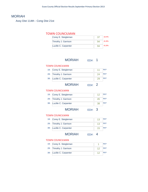## MORIAH

Assy Dist 114th - Cong Dist 21st

#### TOWN COUNCILMAN

| Corey E. Steigleman  | 16.4% |
|----------------------|-------|
| Timothy J. Garrison  | 41.8% |
| Lucille C. Carpenter | 41.8% |

## MORIAH ED#: 1

#### TOWN COUNCILMAN

| 1B: Corey E. Steigleman  | 11 | <b>REP</b> |
|--------------------------|----|------------|
| 2B: Timothy J. Garrison  | 24 | <b>RFP</b> |
| 3B: Lucille C. Carpenter | 29 | <b>RFP</b> |

#### MORIAH ED#: 2

#### TOWN COUNCILMAN

| 1B: Corey E. Steigleman  | <b>REP</b> |
|--------------------------|------------|
| 2B: Timothy J. Garrison  | <b>RFP</b> |
| 3B: Lucille C. Carpenter | <b>RFP</b> |

MORIAH ED#: 3

#### TOWN COUNCILMAN

| 1B: Corey E. Steigleman  | <b>RFP</b> |
|--------------------------|------------|
| 2B: Timothy J. Garrison  | <b>RFP</b> |
| 3B: Lucille C. Carpenter | <b>RFP</b> |

MORIAH ED#: 4

#### TOWN COUNCILMAN

| 1B: Corey E. Steigleman  | <b>REP</b> |
|--------------------------|------------|
| 2B: Timothy J. Garrison  | <b>REP</b> |
| 3B: Lucille C. Carpenter | <b>RFP</b> |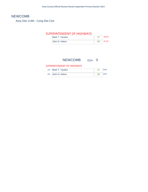## **NEWCOMB**

Assy Dist 114th - Cong Dist 21st

### SUPERINTENDENT OF HIGHWAYS

| Mark T. Yandon | 38.9% |
|----------------|-------|
| John D. Helms  | 61.1% |

## NEWCOMB ED#: 0

#### SUPERINTENDENT OF HIGHWAYS

| 1A: Mark T. Yandon | -37 | <b>DEM</b> |
|--------------------|-----|------------|
| 2A: John D. Helms  | 58  | <b>DEM</b> |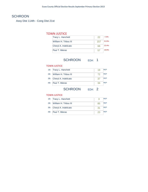## **SCHROON**

Assy Dist 114th - Cong Dist 21st

#### TOWN JUSTICE

| Tracy L. Hanchett     | 22  | 7.2%  |
|-----------------------|-----|-------|
| William H. Tribou III | 157 | 51.6% |
| Cheryl A. Indelicato  | 68  | 224%  |
| Paul T. Mieras        | 57  | 18.8% |

## SCHROON ED#: 1

#### TOWN JUSTICE

| 1B: Tracy L. Hanchett     | 19 | <b>RFP</b> |
|---------------------------|----|------------|
| 2B: William H. Tribou III | 72 | <b>REP</b> |
| 3B: Cheryl A. Indelicato  | 37 | <b>REP</b> |
| 4B: Paul T. Mieras        | 34 | <b>RFP</b> |

## SCHROON ED#: 2

#### TOWN JUSTICE

| 1B: Tracy L. Hanchett     |     | <b>REP</b> |
|---------------------------|-----|------------|
| 2B: William H. Tribou III | 85  | <b>REP</b> |
| 3B: Cheryl A. Indelicato  | -31 | <b>REP</b> |
| 4B: Paul T. Mieras        | 23  | <b>REP</b> |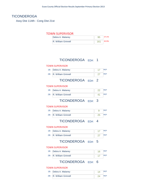## **TICONDEROGA**

Assy Dist 114th - Cong Dist 21st

#### TOWN SUPERVISOR

| Debra A. Malaney    |     |       |
|---------------------|-----|-------|
| R. William Grinnell | 161 | 62.9% |

## TICONDEROGA ED#: 1

#### TOWN SUPERVISOR



TICONDEROGA ED#: 2

#### TOWN SUPERVISOR

| 1B: Debra A. Malaney    |  |
|-------------------------|--|
| 2B: R. William Grinnell |  |

TICONDEROGA ED#: 3

#### TOWN SUPERVISOR

| 1B: Debra A. Malaney    |     | <b>REP</b> |
|-------------------------|-----|------------|
| 2B: R. William Grinnell | -25 | <b>REP</b> |

## TICONDEROGA ED#: 4

#### TOWN SUPERVISOR

| 1B: Debra A. Malaney    | <b>REP</b> |
|-------------------------|------------|
| 2B: R. William Grinnell | <b>REP</b> |

## TICONDEROGA ED#: 5

#### TOWN SUPERVISOR

| 1B: Debra A. Malaney    |            |
|-------------------------|------------|
| 2B: R. William Grinnell | <b>REP</b> |

TICONDEROGA ED#: 6

#### TOWN SUPERVISOR

| 1B: Debra A. Malaney    |  |
|-------------------------|--|
| 2B: R. William Grinnell |  |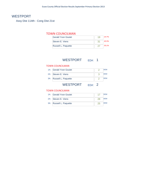## WESTPORT

Assy Dist 114th - Cong Dist 21st

#### TOWN COUNCILMAN

| <b>Gerald Yvon Goulet</b> | 10 | 24.7% |
|---------------------------|----|-------|
| Steven E. Viens           | 31 | 40.3% |
| Russell L. Paquette       |    | 35.1% |

## WESTPORT ED#: 1

#### TOWN COUNCILMAN

| 3A: Russell L. Paquette | <b>DEM</b> |
|-------------------------|------------|
| 2A: Steven E. Viens     | <b>DEM</b> |
| 1A: Gerald Yvon Goulet  | <b>DEM</b> |

## WESTPORT ED#: 2

#### TOWN COUNCILMAN

| 1A: Gerald Yvon Goulet  | <b>DEM</b> |
|-------------------------|------------|
| 2A: Steven E. Viens     | <b>DEM</b> |
| 3A: Russell L. Paquette | <b>DFM</b> |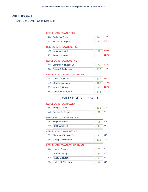## WILLSBORO

Assy Dist 114th - Cong Dist 21st

|        | <b>REPUBLICAN TOWN CLERK</b>   |     |            |
|--------|--------------------------------|-----|------------|
| 1B:    | Bridget A. Brown               | 241 | 79.5%      |
| 2B:    | Richard E. Sayward             | 62  | 20.5%      |
|        | <b>DEMOCRATIC TOWN JUSTICE</b> |     |            |
| $3A$ : | <b>Reginald Bedell</b>         | 31  | 68.9%      |
| 4A:    | Paula L. Lincoln               | 14  | 31.1%      |
|        | <b>REPUBLICAN TOWN JUSTICE</b> |     |            |
| 3B:    | Clarence V Russell Jr.         | 72  | 24.7%      |
| 4B:    | Gregg S. Dickerson             | 219 | 75.3%      |
|        | REPUBLICAN TOWN COUNCILMAN     |     |            |
| 5B:    | Lane J. Sayward                | 137 | 24.3%      |
| 6B:    | Charles Lustig Jr.             | 167 | 29.7%      |
| 7B:    | Nancy E. Huestis               | 85  | 15.1%      |
| 8B:    | Lorilee M. Sheehan             | 174 | 30.9%      |
|        | <b>WILLSBORO</b><br>ED#:       | 1   |            |
|        |                                |     |            |
|        | <b>REPUBLICAN TOWN CLERK</b>   |     |            |
| 1B:    | Bridget A. Brown               | 133 | <b>REP</b> |
| 2B:    | Richard E. Sayward             | 31  | <b>REP</b> |
|        | <b>DEMOCRATIC TOWN JUSTICE</b> |     |            |
| $3A$ : | <b>Reginald Bedell</b>         | 16  | <b>DEM</b> |
| 4A:    | Paula L. Lincoln               | 8   | <b>DEM</b> |
|        | <b>REPUBLICAN TOWN JUSTICE</b> |     |            |
| 3B:    | Clarence V Russell Jr.         | 40  | <b>REP</b> |
| 4B:    | Gregg S. Dickerson             | 119 | <b>REP</b> |
|        | REPUBLICAN TOWN COUNCILMAN     |     |            |
| 5B:    | Lane J. Sayward                | 75  | <b>REP</b> |
| 6B:    | Charles Lustig Jr.             | 84  | REP        |
| 7B:    | Nancy E. Huestis               | 55  | <b>REP</b> |
| 8B:    | Lorilee M. Sheehan             | 87  | <b>REP</b> |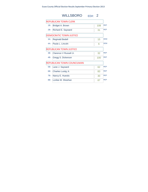| <b>WILLSBORO</b><br>FD#· | - 2                                                                                                              |            |
|--------------------------|------------------------------------------------------------------------------------------------------------------|------------|
|                          |                                                                                                                  |            |
| Bridget A. Brown         | 108                                                                                                              | <b>RFP</b> |
| Richard E. Sayward       | 31                                                                                                               | <b>RFP</b> |
|                          |                                                                                                                  |            |
| Reginald Bedell          | 15                                                                                                               | <b>DFM</b> |
| Paula L. Lincoln         | 6                                                                                                                | <b>DFM</b> |
|                          |                                                                                                                  |            |
| Clarence V Russell Jr.   | 32                                                                                                               | <b>RFP</b> |
| Gregg S. Dickerson       | 100                                                                                                              | <b>REP</b> |
|                          |                                                                                                                  |            |
| Lane J. Sayward          | 62                                                                                                               | <b>REP</b> |
| Charles Lustig Jr.       | 83                                                                                                               | <b>REP</b> |
| Nancy E. Huestis         | 30                                                                                                               | <b>REP</b> |
| Lorilee M. Sheehan       | 87                                                                                                               | <b>RFP</b> |
|                          | <b>REPUBLICAN TOWN CLERK</b><br>DEMOCRATIC TOWN JUSTICE<br>REPUBLICAN TOWN JUSTICE<br>REPUBLICAN TOWN COUNCILMAN |            |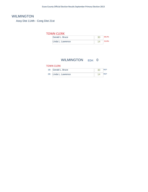## WILMINGTON

Assy Dist 114th - Cong Dist 21st

#### TOWN CLERK

| Gerald L. Bruce   |  |
|-------------------|--|
| Linda L. Lawrence |  |

## WILMINGTON **ED#:** 0

#### TOWN CLERK

| 1B: Gerald L. Bruce   | 3 <sup>c</sup> |  |
|-----------------------|----------------|--|
| 2B: Linda L. Lawrence |                |  |